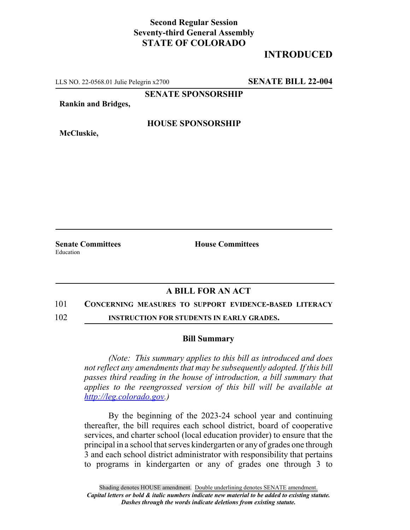## **Second Regular Session Seventy-third General Assembly STATE OF COLORADO**

# **INTRODUCED**

LLS NO. 22-0568.01 Julie Pelegrin x2700 **SENATE BILL 22-004**

**SENATE SPONSORSHIP**

**Rankin and Bridges,**

**McCluskie,**

#### **HOUSE SPONSORSHIP**

**Senate Committees House Committees** Education

### **A BILL FOR AN ACT**

#### 101 **CONCERNING MEASURES TO SUPPORT EVIDENCE-BASED LITERACY**

102 **INSTRUCTION FOR STUDENTS IN EARLY GRADES.**

#### **Bill Summary**

*(Note: This summary applies to this bill as introduced and does not reflect any amendments that may be subsequently adopted. If this bill passes third reading in the house of introduction, a bill summary that applies to the reengrossed version of this bill will be available at http://leg.colorado.gov.)*

By the beginning of the 2023-24 school year and continuing thereafter, the bill requires each school district, board of cooperative services, and charter school (local education provider) to ensure that the principal in a school that serves kindergarten or any of grades one through 3 and each school district administrator with responsibility that pertains to programs in kindergarten or any of grades one through 3 to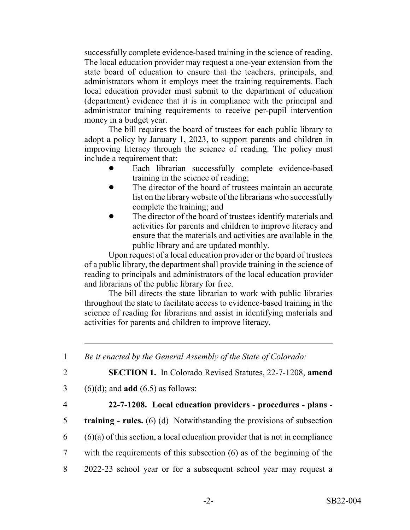successfully complete evidence-based training in the science of reading. The local education provider may request a one-year extension from the state board of education to ensure that the teachers, principals, and administrators whom it employs meet the training requirements. Each local education provider must submit to the department of education (department) evidence that it is in compliance with the principal and administrator training requirements to receive per-pupil intervention money in a budget year.

The bill requires the board of trustees for each public library to adopt a policy by January 1, 2023, to support parents and children in improving literacy through the science of reading. The policy must include a requirement that:

- Each librarian successfully complete evidence-based training in the science of reading;
- The director of the board of trustees maintain an accurate list on the library website of the librarians who successfully complete the training; and
- The director of the board of trustees identify materials and activities for parents and children to improve literacy and ensure that the materials and activities are available in the public library and are updated monthly.

Upon request of a local education provider or the board of trustees of a public library, the department shall provide training in the science of reading to principals and administrators of the local education provider and librarians of the public library for free.

The bill directs the state librarian to work with public libraries throughout the state to facilitate access to evidence-based training in the science of reading for librarians and assist in identifying materials and activities for parents and children to improve literacy.

1 *Be it enacted by the General Assembly of the State of Colorado:*

2 **SECTION 1.** In Colorado Revised Statutes, 22-7-1208, **amend**

- 3 (6)(d); and **add** (6.5) as follows:
- 

### 4 **22-7-1208. Local education providers - procedures - plans -**

- 5 **training rules.** (6) (d) Notwithstanding the provisions of subsection
- $6$  (6)(a) of this section, a local education provider that is not in compliance
- 7 with the requirements of this subsection (6) as of the beginning of the
- 8 2022-23 school year or for a subsequent school year may request a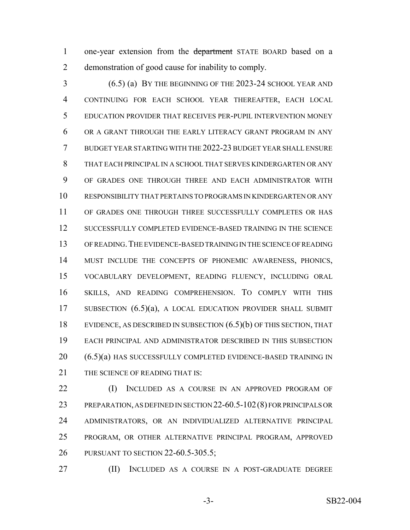1 one-year extension from the department STATE BOARD based on a demonstration of good cause for inability to comply.

 (6.5) (a) BY THE BEGINNING OF THE 2023-24 SCHOOL YEAR AND CONTINUING FOR EACH SCHOOL YEAR THEREAFTER, EACH LOCAL EDUCATION PROVIDER THAT RECEIVES PER-PUPIL INTERVENTION MONEY OR A GRANT THROUGH THE EARLY LITERACY GRANT PROGRAM IN ANY BUDGET YEAR STARTING WITH THE 2022-23 BUDGET YEAR SHALL ENSURE THAT EACH PRINCIPAL IN A SCHOOL THAT SERVES KINDERGARTEN OR ANY OF GRADES ONE THROUGH THREE AND EACH ADMINISTRATOR WITH RESPONSIBILITY THAT PERTAINS TO PROGRAMS IN KINDERGARTEN OR ANY OF GRADES ONE THROUGH THREE SUCCESSFULLY COMPLETES OR HAS SUCCESSFULLY COMPLETED EVIDENCE-BASED TRAINING IN THE SCIENCE OF READING.THE EVIDENCE-BASED TRAINING IN THE SCIENCE OF READING MUST INCLUDE THE CONCEPTS OF PHONEMIC AWARENESS, PHONICS, VOCABULARY DEVELOPMENT, READING FLUENCY, INCLUDING ORAL SKILLS, AND READING COMPREHENSION. TO COMPLY WITH THIS 17 SUBSECTION (6.5)(a), A LOCAL EDUCATION PROVIDER SHALL SUBMIT EVIDENCE, AS DESCRIBED IN SUBSECTION (6.5)(b) OF THIS SECTION, THAT EACH PRINCIPAL AND ADMINISTRATOR DESCRIBED IN THIS SUBSECTION (6.5)(a) HAS SUCCESSFULLY COMPLETED EVIDENCE-BASED TRAINING IN 21 THE SCIENCE OF READING THAT IS:

**(I)** INCLUDED AS A COURSE IN AN APPROVED PROGRAM OF PREPARATION, AS DEFINED IN SECTION 22-60.5-102(8) FOR PRINCIPALS OR ADMINISTRATORS, OR AN INDIVIDUALIZED ALTERNATIVE PRINCIPAL PROGRAM, OR OTHER ALTERNATIVE PRINCIPAL PROGRAM, APPROVED PURSUANT TO SECTION 22-60.5-305.5;

(II) INCLUDED AS A COURSE IN A POST-GRADUATE DEGREE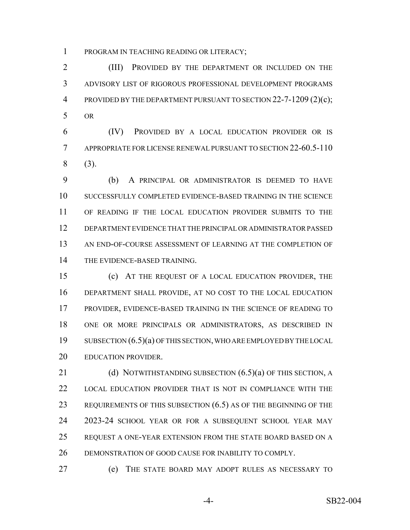PROGRAM IN TEACHING READING OR LITERACY;

 (III) PROVIDED BY THE DEPARTMENT OR INCLUDED ON THE ADVISORY LIST OF RIGOROUS PROFESSIONAL DEVELOPMENT PROGRAMS PROVIDED BY THE DEPARTMENT PURSUANT TO SECTION 22-7-1209 (2)(c); OR

 (IV) PROVIDED BY A LOCAL EDUCATION PROVIDER OR IS APPROPRIATE FOR LICENSE RENEWAL PURSUANT TO SECTION 22-60.5-110 (3).

 (b) A PRINCIPAL OR ADMINISTRATOR IS DEEMED TO HAVE SUCCESSFULLY COMPLETED EVIDENCE-BASED TRAINING IN THE SCIENCE OF READING IF THE LOCAL EDUCATION PROVIDER SUBMITS TO THE DEPARTMENT EVIDENCE THAT THE PRINCIPAL OR ADMINISTRATOR PASSED AN END-OF-COURSE ASSESSMENT OF LEARNING AT THE COMPLETION OF THE EVIDENCE-BASED TRAINING.

 (c) AT THE REQUEST OF A LOCAL EDUCATION PROVIDER, THE DEPARTMENT SHALL PROVIDE, AT NO COST TO THE LOCAL EDUCATION PROVIDER, EVIDENCE-BASED TRAINING IN THE SCIENCE OF READING TO ONE OR MORE PRINCIPALS OR ADMINISTRATORS, AS DESCRIBED IN SUBSECTION (6.5)(a) OF THIS SECTION, WHO ARE EMPLOYED BY THE LOCAL EDUCATION PROVIDER.

21 (d) NOTWITHSTANDING SUBSECTION  $(6.5)(a)$  OF THIS SECTION, A LOCAL EDUCATION PROVIDER THAT IS NOT IN COMPLIANCE WITH THE 23 REQUIREMENTS OF THIS SUBSECTION (6.5) AS OF THE BEGINNING OF THE 2023-24 SCHOOL YEAR OR FOR A SUBSEQUENT SCHOOL YEAR MAY REQUEST A ONE-YEAR EXTENSION FROM THE STATE BOARD BASED ON A DEMONSTRATION OF GOOD CAUSE FOR INABILITY TO COMPLY.

(e) THE STATE BOARD MAY ADOPT RULES AS NECESSARY TO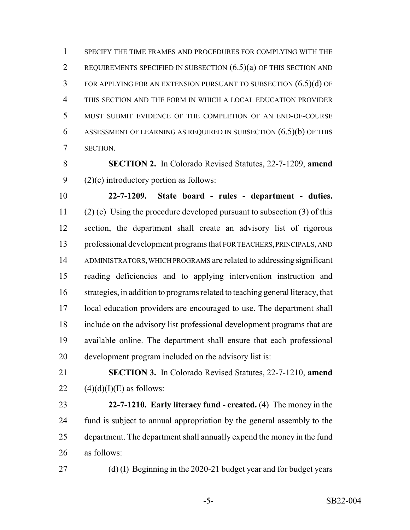SPECIFY THE TIME FRAMES AND PROCEDURES FOR COMPLYING WITH THE REQUIREMENTS SPECIFIED IN SUBSECTION (6.5)(a) OF THIS SECTION AND FOR APPLYING FOR AN EXTENSION PURSUANT TO SUBSECTION (6.5)(d) OF THIS SECTION AND THE FORM IN WHICH A LOCAL EDUCATION PROVIDER MUST SUBMIT EVIDENCE OF THE COMPLETION OF AN END-OF-COURSE ASSESSMENT OF LEARNING AS REQUIRED IN SUBSECTION (6.5)(b) OF THIS SECTION.

 **SECTION 2.** In Colorado Revised Statutes, 22-7-1209, **amend** (2)(c) introductory portion as follows:

 **22-7-1209. State board - rules - department - duties.** (2) (c) Using the procedure developed pursuant to subsection (3) of this section, the department shall create an advisory list of rigorous 13 professional development programs that FOR TEACHERS, PRINCIPALS, AND ADMINISTRATORS, WHICH PROGRAMS are related to addressing significant reading deficiencies and to applying intervention instruction and strategies, in addition to programs related to teaching general literacy, that local education providers are encouraged to use. The department shall include on the advisory list professional development programs that are available online. The department shall ensure that each professional development program included on the advisory list is:

- 
- 

 **SECTION 3.** In Colorado Revised Statutes, 22-7-1210, **amend** 22  $(4)(d)(I)(E)$  as follows:

 **22-7-1210. Early literacy fund - created.** (4) The money in the fund is subject to annual appropriation by the general assembly to the department. The department shall annually expend the money in the fund as follows:

(d) (I) Beginning in the 2020-21 budget year and for budget years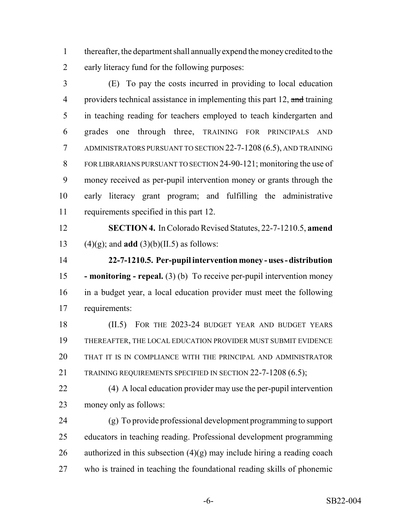thereafter, the department shall annually expend the money credited to the early literacy fund for the following purposes:

 (E) To pay the costs incurred in providing to local education 4 providers technical assistance in implementing this part 12, and training in teaching reading for teachers employed to teach kindergarten and grades one through three, TRAINING FOR PRINCIPALS AND ADMINISTRATORS PURSUANT TO SECTION 22-7-1208 (6.5), AND TRAINING 8 FOR LIBRARIANS PURSUANT TO SECTION 24-90-121; monitoring the use of money received as per-pupil intervention money or grants through the early literacy grant program; and fulfilling the administrative requirements specified in this part 12.

 **SECTION 4.** In Colorado Revised Statutes, 22-7-1210.5, **amend** 13 (4)(g); and **add** (3)(b)(II.5) as follows:

 **22-7-1210.5. Per-pupil intervention money - uses - distribution - monitoring - repeal.** (3) (b) To receive per-pupil intervention money in a budget year, a local education provider must meet the following requirements:

18 (II.5) FOR THE 2023-24 BUDGET YEAR AND BUDGET YEARS THEREAFTER, THE LOCAL EDUCATION PROVIDER MUST SUBMIT EVIDENCE THAT IT IS IN COMPLIANCE WITH THE PRINCIPAL AND ADMINISTRATOR 21 TRAINING REQUIREMENTS SPECIFIED IN SECTION 22-7-1208 (6.5);

 (4) A local education provider may use the per-pupil intervention money only as follows:

 (g) To provide professional development programming to support educators in teaching reading. Professional development programming 26 authorized in this subsection  $(4)(g)$  may include hiring a reading coach who is trained in teaching the foundational reading skills of phonemic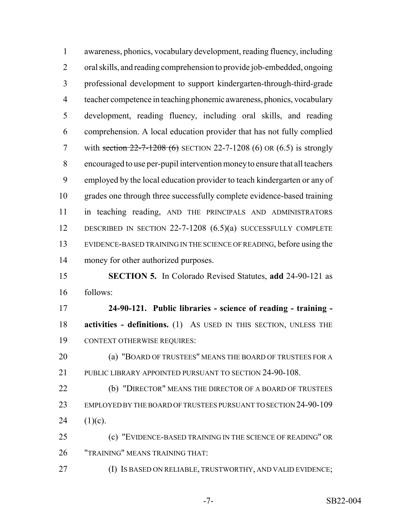awareness, phonics, vocabulary development, reading fluency, including oral skills, and reading comprehension to provide job-embedded, ongoing professional development to support kindergarten-through-third-grade teacher competence in teaching phonemic awareness, phonics, vocabulary development, reading fluency, including oral skills, and reading comprehension. A local education provider that has not fully complied 7 with section  $22 - 7 - 1208$  (6) SECTION 22-7-1208 (6) OR (6.5) is strongly encouraged to use per-pupil intervention money to ensure that all teachers employed by the local education provider to teach kindergarten or any of grades one through three successfully complete evidence-based training in teaching reading, AND THE PRINCIPALS AND ADMINISTRATORS DESCRIBED IN SECTION 22-7-1208 (6.5)(a) SUCCESSFULLY COMPLETE EVIDENCE-BASED TRAINING IN THE SCIENCE OF READING, before using the money for other authorized purposes. **SECTION 5.** In Colorado Revised Statutes, **add** 24-90-121 as follows: **24-90-121. Public libraries - science of reading - training - activities - definitions.** (1) As USED IN THIS SECTION, UNLESS THE CONTEXT OTHERWISE REQUIRES: (a) "BOARD OF TRUSTEES" MEANS THE BOARD OF TRUSTEES FOR A 21 PUBLIC LIBRARY APPOINTED PURSUANT TO SECTION 24-90-108. (b) "DIRECTOR" MEANS THE DIRECTOR OF A BOARD OF TRUSTEES EMPLOYED BY THE BOARD OF TRUSTEES PURSUANT TO SECTION 24-90-109 24  $(1)(c)$ . (c) "EVIDENCE-BASED TRAINING IN THE SCIENCE OF READING" OR "TRAINING" MEANS TRAINING THAT: (I) IS BASED ON RELIABLE, TRUSTWORTHY, AND VALID EVIDENCE;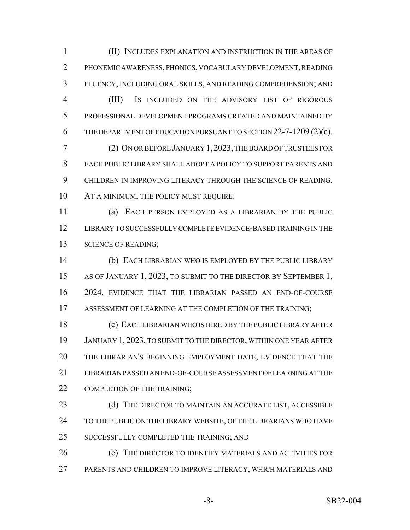(II) INCLUDES EXPLANATION AND INSTRUCTION IN THE AREAS OF PHONEMIC AWARENESS, PHONICS, VOCABULARY DEVELOPMENT, READING FLUENCY, INCLUDING ORAL SKILLS, AND READING COMPREHENSION; AND (III) IS INCLUDED ON THE ADVISORY LIST OF RIGOROUS PROFESSIONAL DEVELOPMENT PROGRAMS CREATED AND MAINTAINED BY THE DEPARTMENT OF EDUCATION PURSUANT TO SECTION 22-7-1209 (2)(c). (2) ON OR BEFORE JANUARY 1, 2023, THE BOARD OF TRUSTEES FOR EACH PUBLIC LIBRARY SHALL ADOPT A POLICY TO SUPPORT PARENTS AND CHILDREN IN IMPROVING LITERACY THROUGH THE SCIENCE OF READING. AT A MINIMUM, THE POLICY MUST REQUIRE: (a) EACH PERSON EMPLOYED AS A LIBRARIAN BY THE PUBLIC LIBRARY TO SUCCESSFULLY COMPLETE EVIDENCE-BASED TRAINING IN THE

13 SCIENCE OF READING;

 (b) EACH LIBRARIAN WHO IS EMPLOYED BY THE PUBLIC LIBRARY AS OF JANUARY 1, 2023, TO SUBMIT TO THE DIRECTOR BY SEPTEMBER 1, 2024, EVIDENCE THAT THE LIBRARIAN PASSED AN END-OF-COURSE ASSESSMENT OF LEARNING AT THE COMPLETION OF THE TRAINING;

 (c) EACH LIBRARIAN WHO IS HIRED BY THE PUBLIC LIBRARY AFTER JANUARY 1, 2023, TO SUBMIT TO THE DIRECTOR, WITHIN ONE YEAR AFTER THE LIBRARIAN'S BEGINNING EMPLOYMENT DATE, EVIDENCE THAT THE LIBRARIAN PASSED AN END-OF-COURSE ASSESSMENT OF LEARNING AT THE 22 COMPLETION OF THE TRAINING;

23 (d) THE DIRECTOR TO MAINTAIN AN ACCURATE LIST, ACCESSIBLE 24 TO THE PUBLIC ON THE LIBRARY WEBSITE, OF THE LIBRARIANS WHO HAVE 25 SUCCESSFULLY COMPLETED THE TRAINING; AND

 (e) THE DIRECTOR TO IDENTIFY MATERIALS AND ACTIVITIES FOR PARENTS AND CHILDREN TO IMPROVE LITERACY, WHICH MATERIALS AND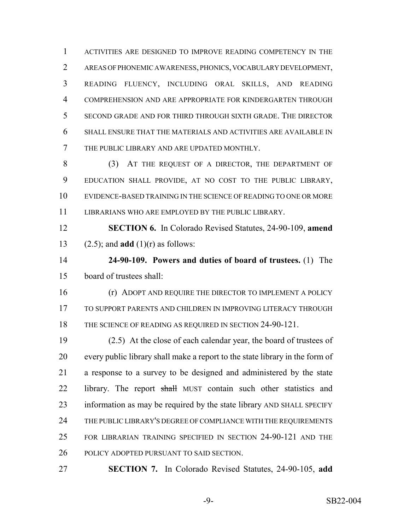ACTIVITIES ARE DESIGNED TO IMPROVE READING COMPETENCY IN THE AREAS OF PHONEMIC AWARENESS, PHONICS, VOCABULARY DEVELOPMENT, READING FLUENCY, INCLUDING ORAL SKILLS, AND READING COMPREHENSION AND ARE APPROPRIATE FOR KINDERGARTEN THROUGH SECOND GRADE AND FOR THIRD THROUGH SIXTH GRADE. THE DIRECTOR SHALL ENSURE THAT THE MATERIALS AND ACTIVITIES ARE AVAILABLE IN THE PUBLIC LIBRARY AND ARE UPDATED MONTHLY.

 (3) AT THE REQUEST OF A DIRECTOR, THE DEPARTMENT OF EDUCATION SHALL PROVIDE, AT NO COST TO THE PUBLIC LIBRARY, EVIDENCE-BASED TRAINING IN THE SCIENCE OF READING TO ONE OR MORE LIBRARIANS WHO ARE EMPLOYED BY THE PUBLIC LIBRARY.

 **SECTION 6.** In Colorado Revised Statutes, 24-90-109, **amend** (2.5); and **add** (1)(r) as follows:

 **24-90-109. Powers and duties of board of trustees.** (1) The board of trustees shall:

**(r) ADOPT AND REQUIRE THE DIRECTOR TO IMPLEMENT A POLICY**  TO SUPPORT PARENTS AND CHILDREN IN IMPROVING LITERACY THROUGH 18 THE SCIENCE OF READING AS REQUIRED IN SECTION 24-90-121.

 (2.5) At the close of each calendar year, the board of trustees of every public library shall make a report to the state library in the form of a response to a survey to be designed and administered by the state 22 library. The report shall MUST contain such other statistics and information as may be required by the state library AND SHALL SPECIFY THE PUBLIC LIBRARY'S DEGREE OF COMPLIANCE WITH THE REQUIREMENTS FOR LIBRARIAN TRAINING SPECIFIED IN SECTION 24-90-121 AND THE POLICY ADOPTED PURSUANT TO SAID SECTION.

**SECTION 7.** In Colorado Revised Statutes, 24-90-105, **add**